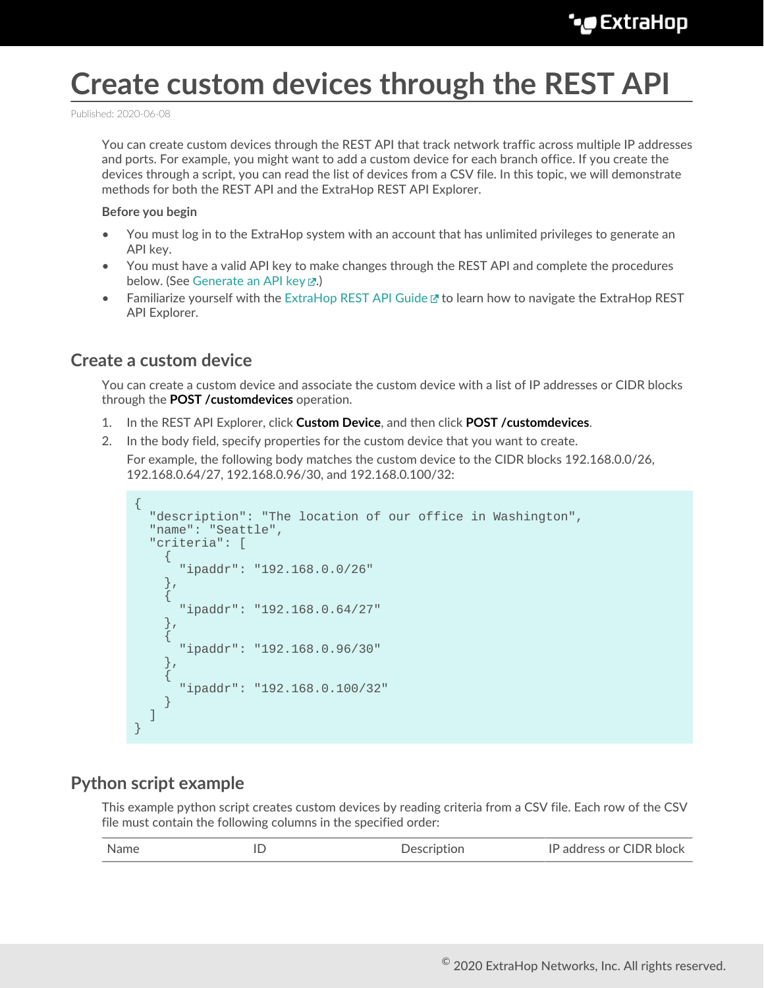# **Create custom devices through the REST API**

Published: 2020-06-08

You can create custom devices through the REST API that track network traffic across multiple IP addresses and ports. For example, you might want to add a custom device for each branch office. If you create the devices through a script, you can read the list of devices from a CSV file. In this topic, we will demonstrate methods for both the REST API and the ExtraHop REST API Explorer.

#### **Before you begin**

- You must log in to the ExtraHop system with an account that has unlimited privileges to generate an API key.
- You must have a valid API key to make changes through the REST API and complete the procedures below. (See [Generate an API key](https://docs.extrahop.com/8.1/rest-api-guide/#generate-an-api-key) ...)
- Familiarize yourself with the [ExtraHop REST API Guide](https://docs.extrahop.com/8.1/rest-api-guide) Extra How to navigate the ExtraHop REST API Explorer.

### **Create a custom device**

You can create a custom device and associate the custom device with a list of IP addresses or CIDR blocks through the **POST /customdevices** operation.

- 1. In the REST API Explorer, click **Custom Device**, and then click **POST /customdevices**.
- 2. In the body field, specify properties for the custom device that you want to create.

For example, the following body matches the custom device to the CIDR blocks 192.168.0.0/26, 192.168.0.64/27, 192.168.0.96/30, and 192.168.0.100/32:

```
{
     "description": "The location of our office in Washington",
     "name": "Seattle",
     "criteria": [
\left\{\begin{array}{c} \end{array}\right\} "ipaddr": "192.168.0.0/26"
\left\{\begin{array}{c}1\end{array}\right\} ,
\left\{\begin{array}{ccc} \end{array}\right\} "ipaddr": "192.168.0.64/27"
\left\{\begin{array}{c}1\end{array}\right\}\left\{\begin{array}{c} \end{array}\right\} "ipaddr": "192.168.0.96/30"
\left\{\begin{array}{c}1\end{array}\right\}\left\{\begin{array}{c} \end{array}\right\} "ipaddr": "192.168.0.100/32"
 }
     ]
}
```
### **Python script example**

This example python script creates custom devices by reading criteria from a CSV file. Each row of the CSV file must contain the following columns in the specified order:

| Name | Description | IP address or CIDR block |
|------|-------------|--------------------------|
|      |             |                          |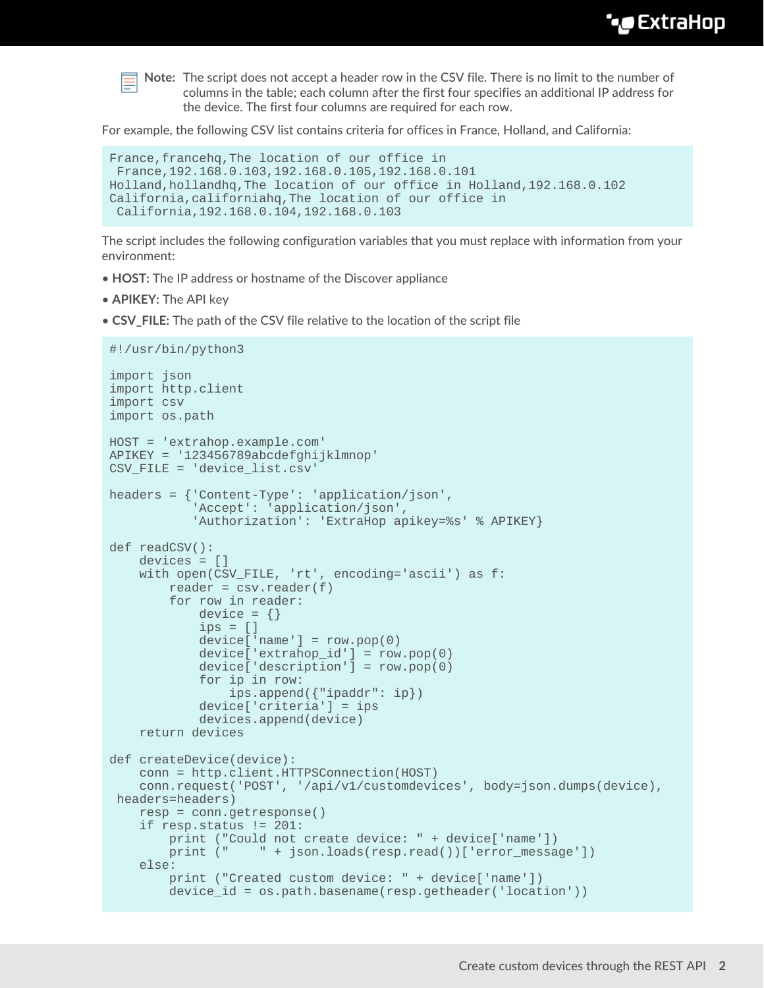

**Note:** The script does not accept a header row in the CSV file. There is no limit to the number of columns in the table; each column after the first four specifies an additional IP address for the device. The first four columns are required for each row.

For example, the following CSV list contains criteria for offices in France, Holland, and California:

```
France,francehq,The location of our office in
 France,192.168.0.103,192.168.0.105,192.168.0.101
Holland,hollandhq,The location of our office in Holland,192.168.0.102
California,californiahq,The location of our office in
  California,192.168.0.104,192.168.0.103
```
The script includes the following configuration variables that you must replace with information from your environment:

- **HOST:** The IP address or hostname of the Discover appliance
- **APIKEY:** The API key
- **CSV\_FILE:** The path of the CSV file relative to the location of the script file

```
#!/usr/bin/python3
import json
import http.client
import csv
import os.path
HOST = 'extrahop.example.com'
APIKEY = '123456789abcdefghijklmnop'
CSV_FILE = 'device_list.csv'
headers = {'Content-Type': 'application/json',
            'Accept': 'application/json',
           'Authorization': 'ExtraHop apikey=%s' % APIKEY}
def readCSV():
     devices = []
     with open(CSV_FILE, 'rt', encoding='ascii') as f:
        reader = csv.reader(f) for row in reader:
            device = \{\}ips = []device['name'] = row.pop(0) device['extrahop_id'] = row.pop(0)
             device['description'] = row.pop(0)
             for ip in row:
                 ips.append({"ipaddr": ip})
             device['criteria'] = ips
             devices.append(device)
     return devices
def createDevice(device):
     conn = http.client.HTTPSConnection(HOST)
    conn.request('POST', '/api/v1/customdevices', body=json.dumps(device),
 headers=headers)
     resp = conn.getresponse()
     if resp.status != 201:
        print ("Could not create device: " + device['name'])
       print (" " + json.loads(resp.read())['error message'])
     else:
         print ("Created custom device: " + device['name'])
         device_id = os.path.basename(resp.getheader('location'))
```